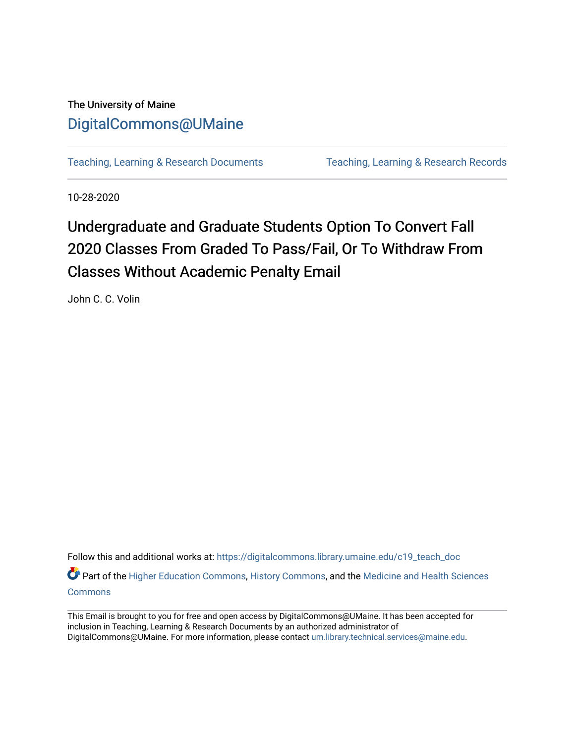## The University of Maine [DigitalCommons@UMaine](https://digitalcommons.library.umaine.edu/)

[Teaching, Learning & Research Documents](https://digitalcommons.library.umaine.edu/c19_teach_doc) [Teaching, Learning & Research Records](https://digitalcommons.library.umaine.edu/c19_teach) 

10-28-2020

# Undergraduate and Graduate Students Option To Convert Fall 2020 Classes From Graded To Pass/Fail, Or To Withdraw From Classes Without Academic Penalty Email

John C. C. Volin

Follow this and additional works at: [https://digitalcommons.library.umaine.edu/c19\\_teach\\_doc](https://digitalcommons.library.umaine.edu/c19_teach_doc?utm_source=digitalcommons.library.umaine.edu%2Fc19_teach_doc%2F57&utm_medium=PDF&utm_campaign=PDFCoverPages)

Part of the [Higher Education Commons,](http://network.bepress.com/hgg/discipline/1245?utm_source=digitalcommons.library.umaine.edu%2Fc19_teach_doc%2F57&utm_medium=PDF&utm_campaign=PDFCoverPages) [History Commons,](http://network.bepress.com/hgg/discipline/489?utm_source=digitalcommons.library.umaine.edu%2Fc19_teach_doc%2F57&utm_medium=PDF&utm_campaign=PDFCoverPages) and the Medicine and Health Sciences [Commons](http://network.bepress.com/hgg/discipline/648?utm_source=digitalcommons.library.umaine.edu%2Fc19_teach_doc%2F57&utm_medium=PDF&utm_campaign=PDFCoverPages)

This Email is brought to you for free and open access by DigitalCommons@UMaine. It has been accepted for inclusion in Teaching, Learning & Research Documents by an authorized administrator of DigitalCommons@UMaine. For more information, please contact [um.library.technical.services@maine.edu](mailto:um.library.technical.services@maine.edu).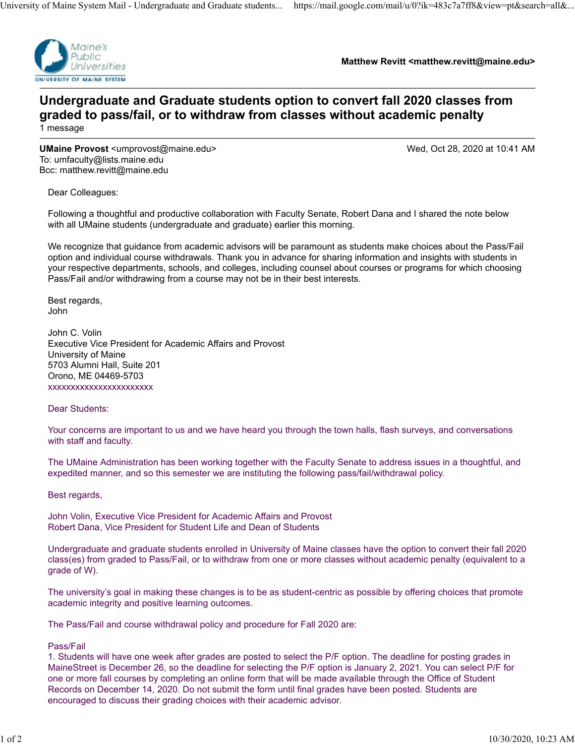

**Matthew Revitt <matthew.revitt@maine.edu>**

## **Undergraduate and Graduate students option to convert fall 2020 classes from graded to pass/fail, or to withdraw from classes without academic penalty** 1 message

**UMaine Provost** <umprovost@maine.edu> Wed, Oct 28, 2020 at 10:41 AM To: umfaculty@lists.maine.edu Bcc: matthew.revitt@maine.edu

Dear Colleagues:

Following a thoughtful and productive collaboration with Faculty Senate, Robert Dana and I shared the note below with all UMaine students (undergraduate and graduate) earlier this morning.

We recognize that guidance from academic advisors will be paramount as students make choices about the Pass/Fail option and individual course withdrawals. Thank you in advance for sharing information and insights with students in your respective departments, schools, and colleges, including counsel about courses or programs for which choosing Pass/Fail and/or withdrawing from a course may not be in their best interests.

Best regards, John

John C. Volin Executive Vice President for Academic Affairs and Provost University of Maine 5703 Alumni Hall, Suite 201 Orono, ME 04469-5703 xxxxxxxxxxxxxxxxxxxxxxx

Dear Students:

Your concerns are important to us and we have heard you through the town halls, flash surveys, and conversations with staff and faculty.

The UMaine Administration has been working together with the Faculty Senate to address issues in a thoughtful, and expedited manner, and so this semester we are instituting the following pass/fail/withdrawal policy.

Best regards,

John Volin, Executive Vice President for Academic Affairs and Provost Robert Dana, Vice President for Student Life and Dean of Students

Undergraduate and graduate students enrolled in University of Maine classes have the option to convert their fall 2020 class(es) from graded to Pass/Fail, or to withdraw from one or more classes without academic penalty (equivalent to a grade of W).

The university's goal in making these changes is to be as student-centric as possible by offering choices that promote academic integrity and positive learning outcomes.

The Pass/Fail and course withdrawal policy and procedure for Fall 2020 are:

Pass/Fail

1. Students will have one week after grades are posted to select the P/F option. The deadline for posting grades in MaineStreet is December 26, so the deadline for selecting the P/F option is January 2, 2021. You can select P/F for one or more fall courses by completing an online form that will be made available through the Office of Student Records on December 14, 2020. Do not submit the form until final grades have been posted. Students are encouraged to discuss their grading choices with their academic advisor.